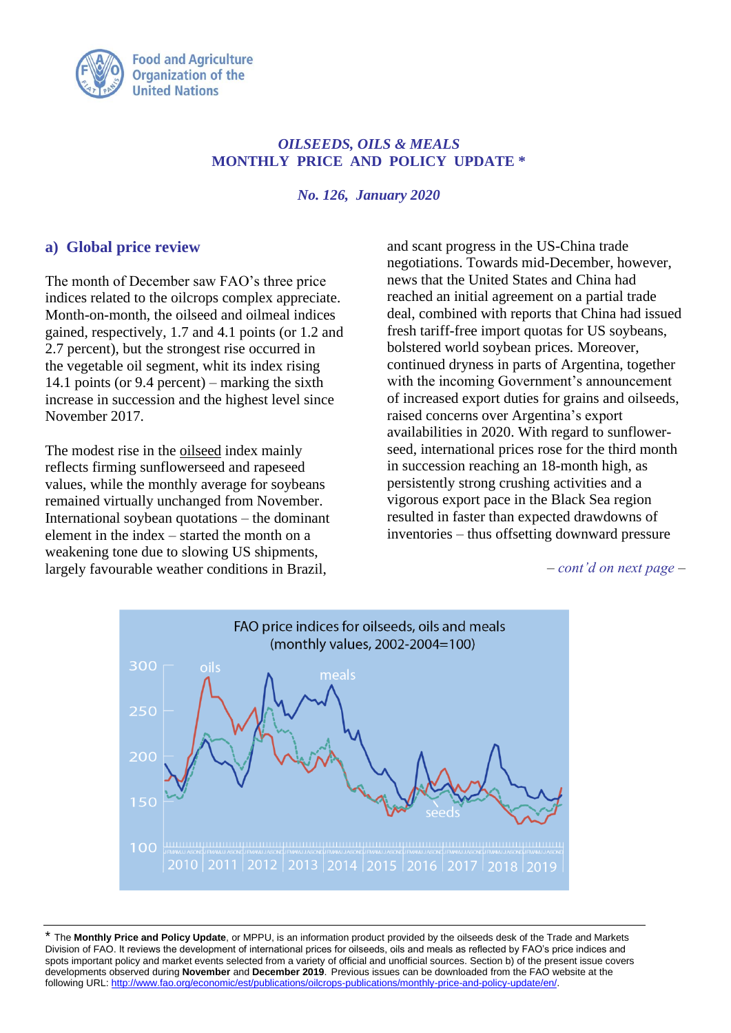

# *OILSEEDS, OILS & MEALS* **MONTHLY PRICE AND POLICY UPDATE \***

*No. 126, January 2020*

# **a) Global price review**

The month of December saw FAO's three price indices related to the oilcrops complex appreciate. Month-on-month, the oilseed and oilmeal indices gained, respectively, 1.7 and 4.1 points (or 1.2 and 2.7 percent), but the strongest rise occurred in the vegetable oil segment, whit its index rising 14.1 points (or 9.4 percent) – marking the sixth increase in succession and the highest level since November 2017.

The modest rise in the oilseed index mainly reflects firming sunflowerseed and rapeseed values, while the monthly average for soybeans remained virtually unchanged from November. International soybean quotations – the dominant element in the index – started the month on a weakening tone due to slowing US shipments, largely favourable weather conditions in Brazil,

and scant progress in the US-China trade negotiations. Towards mid-December, however, news that the United States and China had reached an initial agreement on a partial trade deal, combined with reports that China had issued fresh tariff-free import quotas for US soybeans, bolstered world soybean prices*.* Moreover, continued dryness in parts of Argentina, together with the incoming Government's announcement of increased export duties for grains and oilseeds, raised concerns over Argentina's export availabilities in 2020. With regard to sunflowerseed, international prices rose for the third month in succession reaching an 18-month high, as persistently strong crushing activities and a vigorous export pace in the Black Sea region resulted in faster than expected drawdowns of inventories – thus offsetting downward pressure

*– cont'd on next page –*



\* The **Monthly Price and Policy Update**, or MPPU, is an information product provided by the oilseeds desk of the Trade and Markets Division of FAO. It reviews the development of international prices for oilseeds, oils and meals as reflected by FAO's price indices and spots important policy and market events selected from a variety of official and unofficial sources. Section b) of the present issue covers developments observed during **November** and **December 2019**. Previous issues can be downloaded from the FAO website at the following URL: [http://www.fao.org/economic/est/publications/oilcrops-publications/monthly-price-and-policy-update/en/.](http://www.fao.org/economic/est/publications/oilcrops-publications/monthly-price-and-policy-update/en/)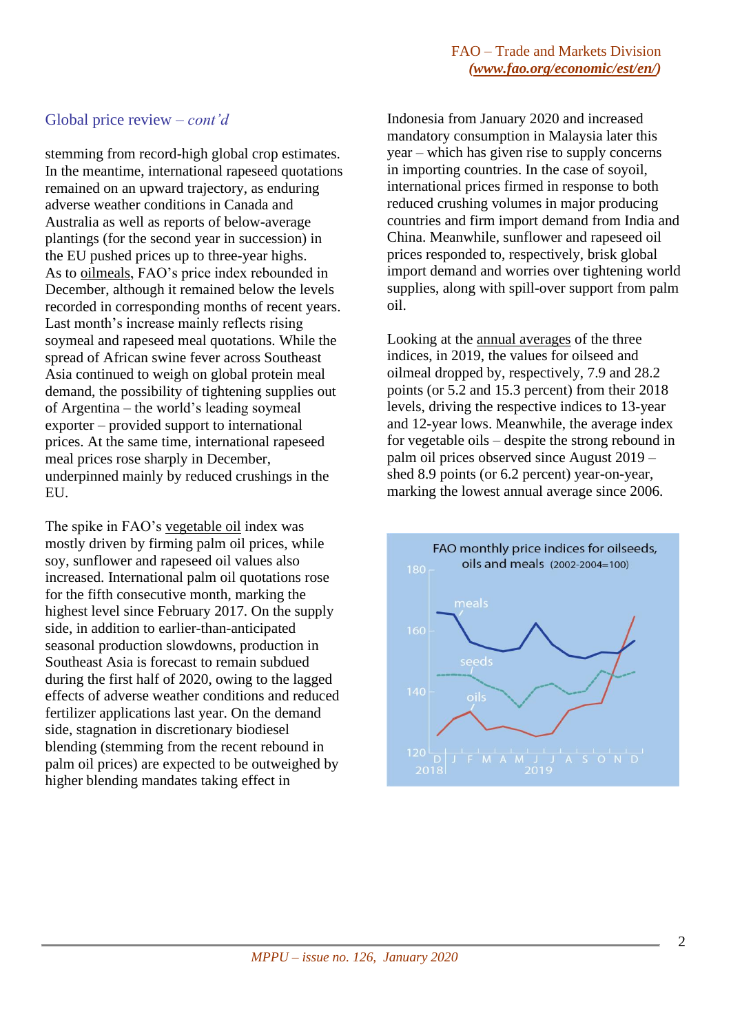# Global price review *– cont'd*

stemming from record-high global crop estimates. In the meantime, international rapeseed quotations remained on an upward trajectory, as enduring adverse weather conditions in Canada and Australia as well as reports of below-average plantings (for the second year in succession) in the EU pushed prices up to three-year highs. As to oilmeals, FAO's price index rebounded in December, although it remained below the levels recorded in corresponding months of recent years. Last month's increase mainly reflects rising soymeal and rapeseed meal quotations. While the spread of African swine fever across Southeast Asia continued to weigh on global protein meal demand, the possibility of tightening supplies out of Argentina – the world's leading soymeal exporter – provided support to international prices. At the same time, international rapeseed meal prices rose sharply in December, underpinned mainly by reduced crushings in the EU.

The spike in FAO's vegetable oil index was mostly driven by firming palm oil prices, while soy, sunflower and rapeseed oil values also increased. International palm oil quotations rose for the fifth consecutive month, marking the highest level since February 2017. On the supply side, in addition to earlier-than-anticipated seasonal production slowdowns, production in Southeast Asia is forecast to remain subdued during the first half of 2020, owing to the lagged effects of adverse weather conditions and reduced fertilizer applications last year. On the demand side, stagnation in discretionary biodiesel blending (stemming from the recent rebound in palm oil prices) are expected to be outweighed by higher blending mandates taking effect in

Indonesia from January 2020 and increased mandatory consumption in Malaysia later this year – which has given rise to supply concerns in importing countries. In the case of soyoil, international prices firmed in response to both reduced crushing volumes in major producing countries and firm import demand from India and China. Meanwhile, sunflower and rapeseed oil prices responded to, respectively, brisk global import demand and worries over tightening world supplies, along with spill-over support from palm oil.

Looking at the annual averages of the three indices, in 2019, the values for oilseed and oilmeal dropped by, respectively, 7.9 and 28.2 points (or 5.2 and 15.3 percent) from their 2018 levels, driving the respective indices to 13-year and 12-year lows. Meanwhile, the average index for vegetable oils – despite the strong rebound in palm oil prices observed since August 2019 – shed 8.9 points (or 6.2 percent) year-on-year, marking the lowest annual average since 2006.

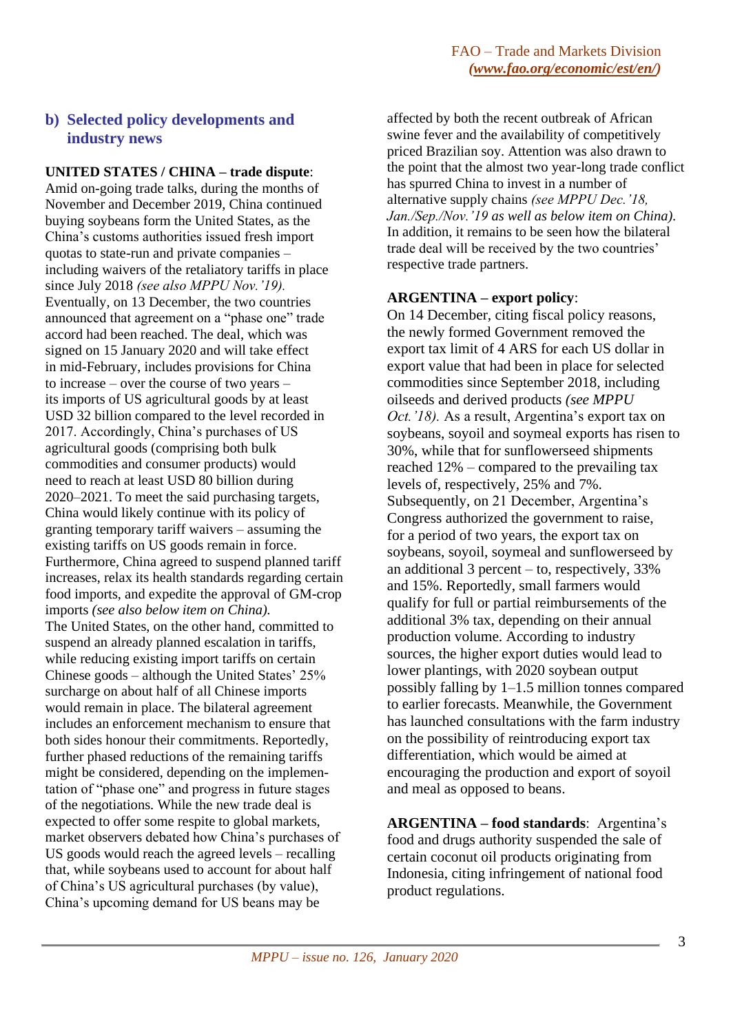# **b) Selected policy developments and industry news**

**UNITED STATES / CHINA – trade dispute**: Amid on-going trade talks, during the months of November and December 2019, China continued buying soybeans form the United States, as the China's customs authorities issued fresh import quotas to state-run and private companies – including waivers of the retaliatory tariffs in place since July 2018 *(see also MPPU Nov.'19).* Eventually, on 13 December, the two countries announced that agreement on a "phase one" trade accord had been reached. The deal, which was signed on 15 January 2020 and will take effect in mid-February, includes provisions for China to increase – over the course of two years – its imports of US agricultural goods by at least USD 32 billion compared to the level recorded in 2017. Accordingly, China's purchases of US agricultural goods (comprising both bulk commodities and consumer products) would need to reach at least USD 80 billion during 2020–2021. To meet the said purchasing targets, China would likely continue with its policy of granting temporary tariff waivers – assuming the existing tariffs on US goods remain in force. Furthermore, China agreed to suspend planned tariff increases, relax its health standards regarding certain food imports, and expedite the approval of GM-crop imports *(see also below item on China).* The United States, on the other hand, committed to suspend an already planned escalation in tariffs, while reducing existing import tariffs on certain Chinese goods – although the United States' 25% surcharge on about half of all Chinese imports would remain in place. The bilateral agreement includes an enforcement mechanism to ensure that both sides honour their commitments. Reportedly, further phased reductions of the remaining tariffs might be considered, depending on the implementation of "phase one" and progress in future stages of the negotiations. While the new trade deal is expected to offer some respite to global markets, market observers debated how China's purchases of US goods would reach the agreed levels – recalling that, while soybeans used to account for about half of China's US agricultural purchases (by value), China's upcoming demand for US beans may be

affected by both the recent outbreak of African swine fever and the availability of competitively priced Brazilian soy. Attention was also drawn to the point that the almost two year-long trade conflict has spurred China to invest in a number of alternative supply chains *(see MPPU Dec.'18, Jan./Sep./Nov.'19 as well as below item on China).* In addition, it remains to be seen how the bilateral trade deal will be received by the two countries' respective trade partners.

#### **ARGENTINA – export policy**:

On 14 December, citing fiscal policy reasons, the newly formed Government removed the export tax limit of 4 ARS for each US dollar in export value that had been in place for selected commodities since September 2018, including oilseeds and derived products *(see MPPU Oct.'18).* As a result, Argentina's export tax on soybeans, soyoil and soymeal exports has risen to 30%, while that for sunflowerseed shipments reached 12% – compared to the prevailing tax levels of, respectively, 25% and 7%. Subsequently, on 21 December, Argentina's Congress authorized the government to raise, for a period of two years, the export tax on soybeans, soyoil, soymeal and sunflowerseed by an additional 3 percent – to, respectively, 33% and 15%. Reportedly, small farmers would qualify for full or partial reimbursements of the additional 3% tax, depending on their annual production volume. According to industry sources, the higher export duties would lead to lower plantings, with 2020 soybean output possibly falling by 1–1.5 million tonnes compared to earlier forecasts. Meanwhile, the Government has launched consultations with the farm industry on the possibility of reintroducing export tax differentiation, which would be aimed at encouraging the production and export of soyoil and meal as opposed to beans.

**ARGENTINA – food standards**: Argentina's food and drugs authority suspended the sale of certain coconut oil products originating from Indonesia, citing infringement of national food product regulations.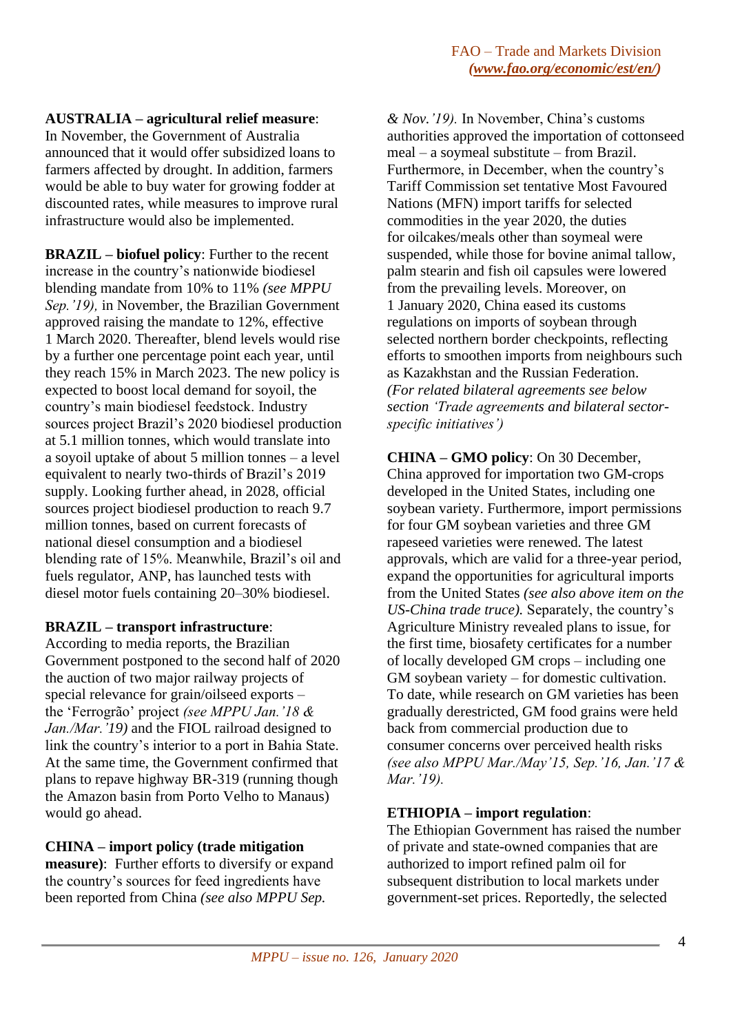# **AUSTRALIA – agricultural relief measure**:

In November, the Government of Australia announced that it would offer subsidized loans to farmers affected by drought. In addition, farmers would be able to buy water for growing fodder at discounted rates, while measures to improve rural infrastructure would also be implemented.

**BRAZIL – biofuel policy**: Further to the recent increase in the country's nationwide biodiesel blending mandate from 10% to 11% *(see MPPU Sep.'19),* in November, the Brazilian Government approved raising the mandate to 12%, effective 1 March 2020. Thereafter, blend levels would rise by a further one percentage point each year, until they reach 15% in March 2023. The new policy is expected to boost local demand for soyoil, the country's main biodiesel feedstock. Industry sources project Brazil's 2020 biodiesel production at 5.1 million tonnes, which would translate into a soyoil uptake of about 5 million tonnes – a level equivalent to nearly two-thirds of Brazil's 2019 supply. Looking further ahead, in 2028, official sources project biodiesel production to reach 9.7 million tonnes, based on current forecasts of national diesel consumption and a biodiesel blending rate of 15%. Meanwhile, Brazil's oil and fuels regulator, ANP, has launched tests with diesel motor fuels containing 20–30% biodiesel.

# **BRAZIL – transport infrastructure**:

According to media reports, the Brazilian Government postponed to the second half of 2020 the auction of two major railway projects of special relevance for grain/oilseed exports – the 'Ferrogrão' project *(see MPPU Jan.'18 & Jan./Mar.'19)* and the FIOL railroad designed to link the country's interior to a port in Bahia State. At the same time, the Government confirmed that plans to repave highway BR-319 (running though the Amazon basin from Porto Velho to Manaus) would go ahead.

# **CHINA – import policy (trade mitigation**

**measure)**: Further efforts to diversify or expand the country's sources for feed ingredients have been reported from China *(see also MPPU Sep.*

*& Nov.'19).* In November, China's customs authorities approved the importation of cottonseed meal – a soymeal substitute – from Brazil. Furthermore, in December, when the country's Tariff Commission set tentative Most Favoured Nations (MFN) import tariffs for selected commodities in the year 2020, the duties for oilcakes/meals other than soymeal were suspended, while those for bovine animal tallow, palm stearin and fish oil capsules were lowered from the prevailing levels. Moreover, on 1 January 2020, China eased its customs regulations on imports of soybean through selected northern border checkpoints, reflecting efforts to smoothen imports from neighbours such as Kazakhstan and the Russian Federation. *(For related bilateral agreements see below section 'Trade agreements and bilateral sectorspecific initiatives')*

**CHINA – GMO policy**: On 30 December, China approved for importation two GM-crops developed in the United States, including one soybean variety. Furthermore, import permissions for four GM soybean varieties and three GM rapeseed varieties were renewed. The latest approvals, which are valid for a three-year period, expand the opportunities for agricultural imports from the United States *(see also above item on the US-China trade truce).* Separately, the country's Agriculture Ministry revealed plans to issue, for the first time, biosafety certificates for a number of locally developed GM crops – including one GM soybean variety – for domestic cultivation. To date, while research on GM varieties has been gradually derestricted, GM food grains were held back from commercial production due to consumer concerns over perceived health risks *(see also MPPU Mar./May'15, Sep.'16, Jan.'17 & Mar.'19).*

# **ETHIOPIA – import regulation**:

The Ethiopian Government has raised the number of private and state-owned companies that are authorized to import refined palm oil for subsequent distribution to local markets under government-set prices. Reportedly, the selected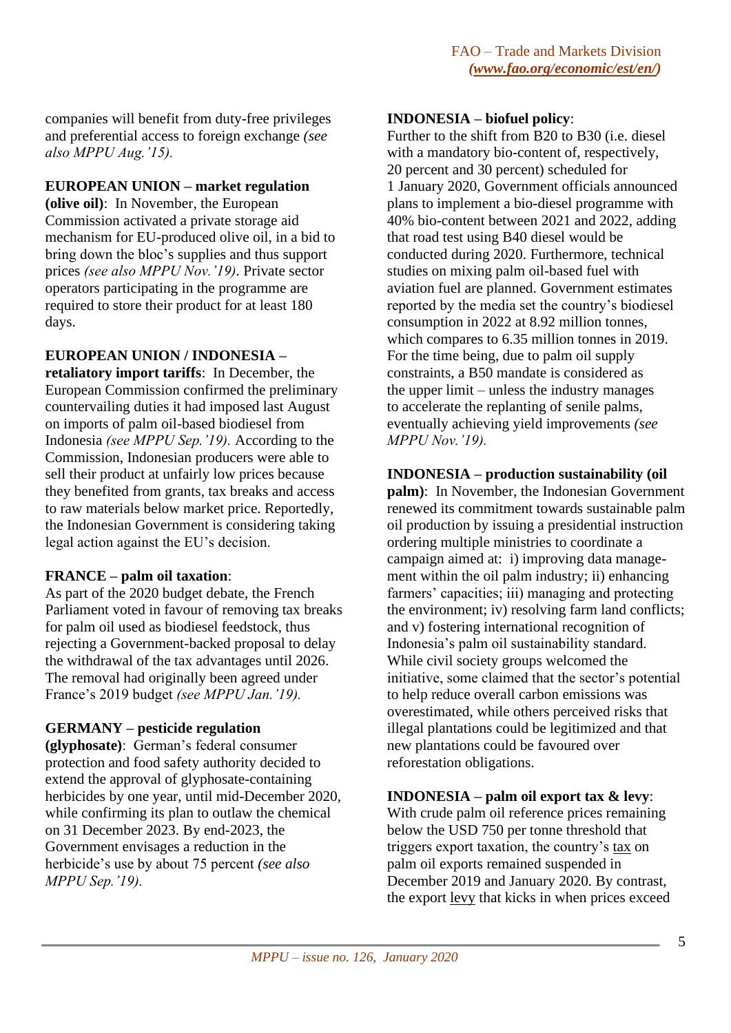companies will benefit from duty-free privileges and preferential access to foreign exchange *(see also MPPU Aug.'15).*

### **EUROPEAN UNION – market regulation**

**(olive oil)**: In November, the European Commission activated a private storage aid mechanism for EU-produced olive oil, in a bid to bring down the bloc's supplies and thus support prices *(see also MPPU Nov.'19).* Private sector operators participating in the programme are required to store their product for at least 180 days.

### **EUROPEAN UNION / INDONESIA –**

**retaliatory import tariffs**: In December, the European Commission confirmed the preliminary countervailing duties it had imposed last August on imports of palm oil-based biodiesel from Indonesia *(see MPPU Sep.'19).* According to the Commission, Indonesian producers were able to sell their product at unfairly low prices because they benefited from grants, tax breaks and access to raw materials below market price. Reportedly, the Indonesian Government is considering taking legal action against the EU's decision.

### **FRANCE – palm oil taxation**:

As part of the 2020 budget debate, the French Parliament voted in favour of removing tax breaks for palm oil used as biodiesel feedstock, thus rejecting a Government-backed proposal to delay the withdrawal of the tax advantages until 2026. The removal had originally been agreed under France's 2019 budget *(see MPPU Jan.'19).*

### **GERMANY – pesticide regulation**

**(glyphosate)**: German's federal consumer protection and food safety authority decided to extend the approval of glyphosate-containing herbicides by one year, until mid-December 2020, while confirming its plan to outlaw the chemical on 31 December 2023. By end-2023, the Government envisages a reduction in the herbicide's use by about 75 percent *(see also MPPU Sep.'19).*

### **INDONESIA – biofuel policy**:

Further to the shift from B20 to B30 (i.e. diesel with a mandatory bio-content of, respectively, 20 percent and 30 percent) scheduled for 1 January 2020, Government officials announced plans to implement a bio-diesel programme with 40% bio-content between 2021 and 2022, adding that road test using B40 diesel would be conducted during 2020. Furthermore, technical studies on mixing palm oil-based fuel with aviation fuel are planned. Government estimates reported by the media set the country's biodiesel consumption in 2022 at 8.92 million tonnes, which compares to 6.35 million tonnes in 2019. For the time being, due to palm oil supply constraints, a B50 mandate is considered as the upper limit – unless the industry manages to accelerate the replanting of senile palms, eventually achieving yield improvements *(see MPPU Nov.'19).*

### **INDONESIA – production sustainability (oil**

**palm)**: In November, the Indonesian Government renewed its commitment towards sustainable palm oil production by issuing a presidential instruction ordering multiple ministries to coordinate a campaign aimed at: i) improving data management within the oil palm industry; ii) enhancing farmers' capacities; iii) managing and protecting the environment; iv) resolving farm land conflicts; and v) fostering international recognition of Indonesia's palm oil sustainability standard. While civil society groups welcomed the initiative, some claimed that the sector's potential to help reduce overall carbon emissions was overestimated, while others perceived risks that illegal plantations could be legitimized and that new plantations could be favoured over reforestation obligations.

### **INDONESIA – palm oil export tax & levy**:

With crude palm oil reference prices remaining below the USD 750 per tonne threshold that triggers export taxation, the country's tax on palm oil exports remained suspended in December 2019 and January 2020. By contrast, the export levy that kicks in when prices exceed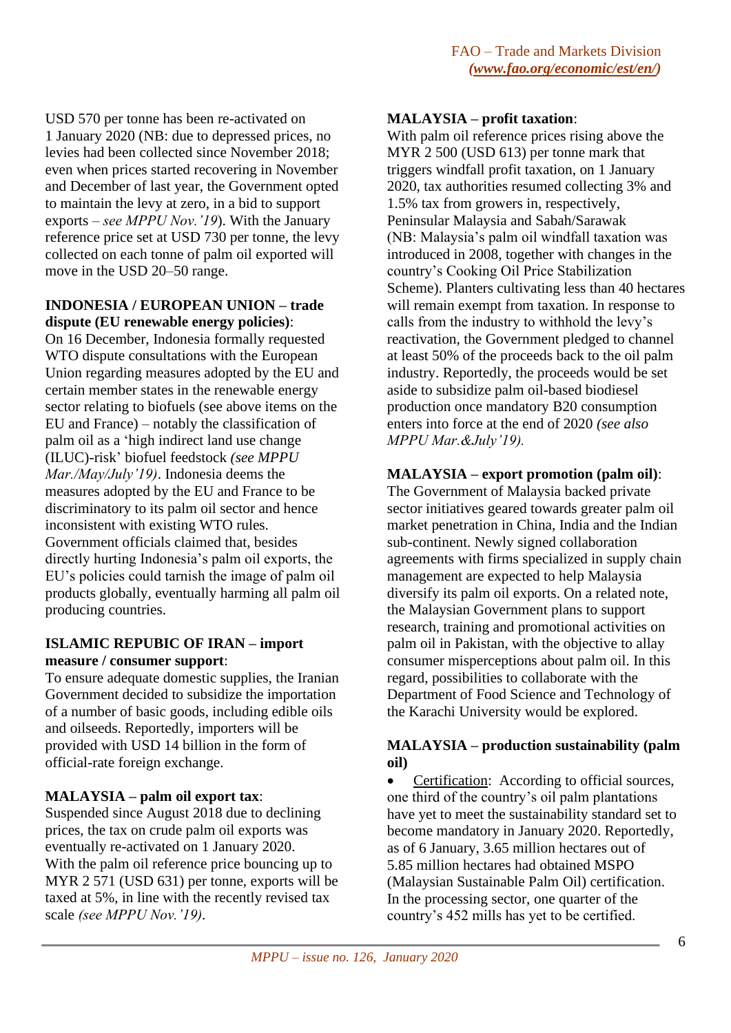USD 570 per tonne has been re-activated on 1 January 2020 (NB: due to depressed prices, no levies had been collected since November 2018; even when prices started recovering in November and December of last year, the Government opted to maintain the levy at zero, in a bid to support exports – *see MPPU Nov.'19*). With the January reference price set at USD 730 per tonne, the levy collected on each tonne of palm oil exported will move in the USD 20–50 range.

# **INDONESIA / EUROPEAN UNION – trade dispute (EU renewable energy policies)**:

On 16 December, Indonesia formally requested WTO dispute consultations with the European Union regarding measures adopted by the EU and certain member states in the renewable energy sector relating to biofuels (see above items on the EU and France) – notably the classification of palm oil as a 'high indirect land use change (ILUC)-risk' biofuel feedstock *(see MPPU Mar./May/July'19)*. Indonesia deems the measures adopted by the EU and France to be discriminatory to its palm oil sector and hence inconsistent with existing WTO rules. Government officials claimed that, besides directly hurting Indonesia's palm oil exports, the EU's policies could tarnish the image of palm oil products globally, eventually harming all palm oil producing countries.

### **ISLAMIC REPUBIC OF IRAN – import measure / consumer support**:

To ensure adequate domestic supplies, the Iranian Government decided to subsidize the importation of a number of basic goods, including edible oils and oilseeds. Reportedly, importers will be provided with USD 14 billion in the form of official-rate foreign exchange.

# **MALAYSIA – palm oil export tax**:

Suspended since August 2018 due to declining prices, the tax on crude palm oil exports was eventually re-activated on 1 January 2020. With the palm oil reference price bouncing up to MYR 2 571 (USD 631) per tonne, exports will be taxed at 5%, in line with the recently revised tax scale *(see MPPU Nov.'19).*

# **MALAYSIA – profit taxation**:

With palm oil reference prices rising above the MYR 2 500 (USD 613) per tonne mark that triggers windfall profit taxation, on 1 January 2020, tax authorities resumed collecting 3% and 1.5% tax from growers in, respectively, Peninsular Malaysia and Sabah/Sarawak (NB: Malaysia's palm oil windfall taxation was introduced in 2008, together with changes in the country's Cooking Oil Price Stabilization Scheme). Planters cultivating less than 40 hectares will remain exempt from taxation. In response to calls from the industry to withhold the levy's reactivation, the Government pledged to channel at least 50% of the proceeds back to the oil palm industry. Reportedly, the proceeds would be set aside to subsidize palm oil-based biodiesel production once mandatory B20 consumption enters into force at the end of 2020 *(see also MPPU Mar.&July'19).*

# **MALAYSIA – export promotion (palm oil)**:

The Government of Malaysia backed private sector initiatives geared towards greater palm oil market penetration in China, India and the Indian sub-continent. Newly signed collaboration agreements with firms specialized in supply chain management are expected to help Malaysia diversify its palm oil exports. On a related note, the Malaysian Government plans to support research, training and promotional activities on palm oil in Pakistan, with the objective to allay consumer misperceptions about palm oil. In this regard, possibilities to collaborate with the Department of Food Science and Technology of the Karachi University would be explored.

# **MALAYSIA – production sustainability (palm oil)**

• Certification: According to official sources, one third of the country's oil palm plantations have yet to meet the sustainability standard set to become mandatory in January 2020. Reportedly, as of 6 January, 3.65 million hectares out of 5.85 million hectares had obtained MSPO (Malaysian Sustainable Palm Oil) certification. In the processing sector, one quarter of the country's 452 mills has yet to be certified.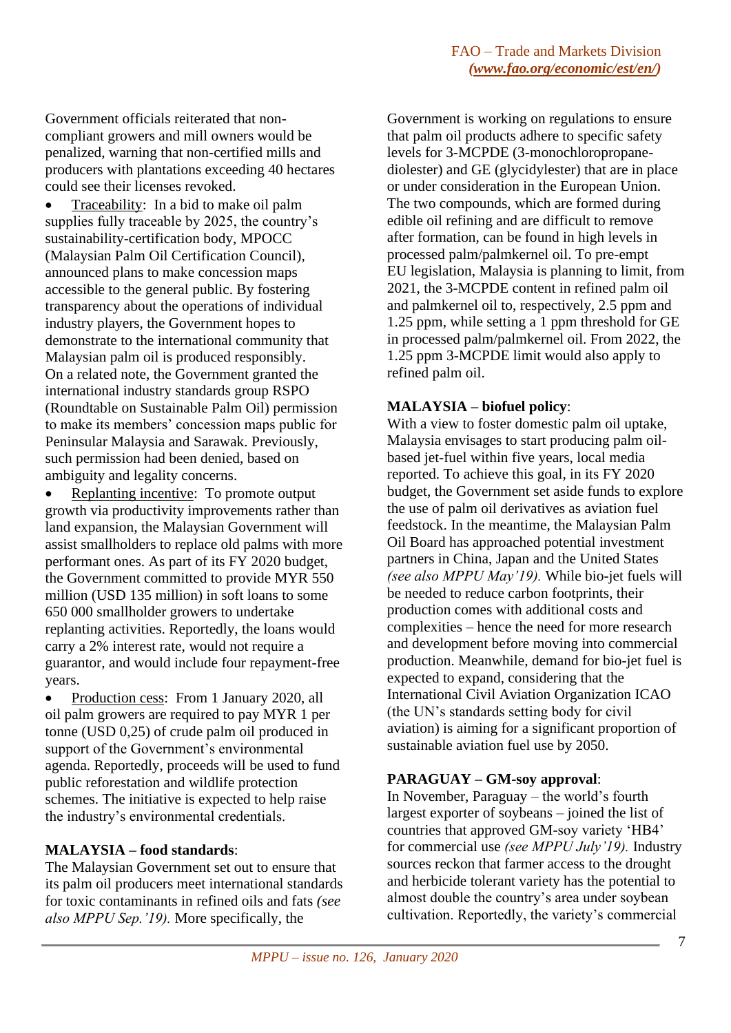Government officials reiterated that noncompliant growers and mill owners would be penalized, warning that non-certified mills and producers with plantations exceeding 40 hectares could see their licenses revoked.

• Traceability: In a bid to make oil palm supplies fully traceable by 2025, the country's sustainability-certification body, MPOCC (Malaysian Palm Oil Certification Council), announced plans to make concession maps accessible to the general public. By fostering transparency about the operations of individual industry players, the Government hopes to demonstrate to the international community that Malaysian palm oil is produced responsibly. On a related note, the Government granted the international industry standards group RSPO (Roundtable on Sustainable Palm Oil) permission to make its members' concession maps public for Peninsular Malaysia and Sarawak. Previously, such permission had been denied, based on ambiguity and legality concerns.

• Replanting incentive: To promote output growth via productivity improvements rather than land expansion, the Malaysian Government will assist smallholders to replace old palms with more performant ones. As part of its FY 2020 budget, the Government committed to provide MYR 550 million (USD 135 million) in soft loans to some 650 000 smallholder growers to undertake replanting activities. Reportedly, the loans would carry a 2% interest rate, would not require a guarantor, and would include four repayment-free years.

• Production cess: From 1 January 2020, all oil palm growers are required to pay MYR 1 per tonne (USD 0,25) of crude palm oil produced in support of the Government's environmental agenda. Reportedly, proceeds will be used to fund public reforestation and wildlife protection schemes. The initiative is expected to help raise the industry's environmental credentials.

# **MALAYSIA – food standards**:

The Malaysian Government set out to ensure that its palm oil producers meet international standards for toxic contaminants in refined oils and fats *(see also MPPU Sep.'19).* More specifically, the

Government is working on regulations to ensure that palm oil products adhere to specific safety levels for 3-MCPDE (3-monochloropropanediolester) and GE (glycidylester) that are in place or under consideration in the European Union. The two compounds, which are formed during edible oil refining and are difficult to remove after formation, can be found in high levels in processed palm/palmkernel oil. To pre-empt EU legislation, Malaysia is planning to limit, from 2021, the 3-MCPDE content in refined palm oil and palmkernel oil to, respectively, 2.5 ppm and 1.25 ppm, while setting a 1 ppm threshold for GE in processed palm/palmkernel oil. From 2022, the 1.25 ppm 3-MCPDE limit would also apply to refined palm oil.

### **MALAYSIA – biofuel policy**:

With a view to foster domestic palm oil uptake, Malaysia envisages to start producing palm oilbased jet-fuel within five years, local media reported. To achieve this goal, in its FY 2020 budget, the Government set aside funds to explore the use of palm oil derivatives as aviation fuel feedstock. In the meantime, the Malaysian Palm Oil Board has approached potential investment partners in China, Japan and the United States *(see also MPPU May'19).* While bio-jet fuels will be needed to reduce carbon footprints, their production comes with additional costs and complexities – hence the need for more research and development before moving into commercial production. Meanwhile, demand for bio-jet fuel is expected to expand, considering that the International Civil Aviation Organization ICAO (the UN's standards setting body for civil aviation) is aiming for a significant proportion of sustainable aviation fuel use by 2050.

# **PARAGUAY – GM-soy approval**:

In November, Paraguay – the world's fourth largest exporter of soybeans – joined the list of countries that approved GM-soy variety 'HB4' for commercial use *(see MPPU July'19).* Industry sources reckon that farmer access to the drought and herbicide tolerant variety has the potential to almost double the country's area under soybean cultivation. Reportedly, the variety's commercial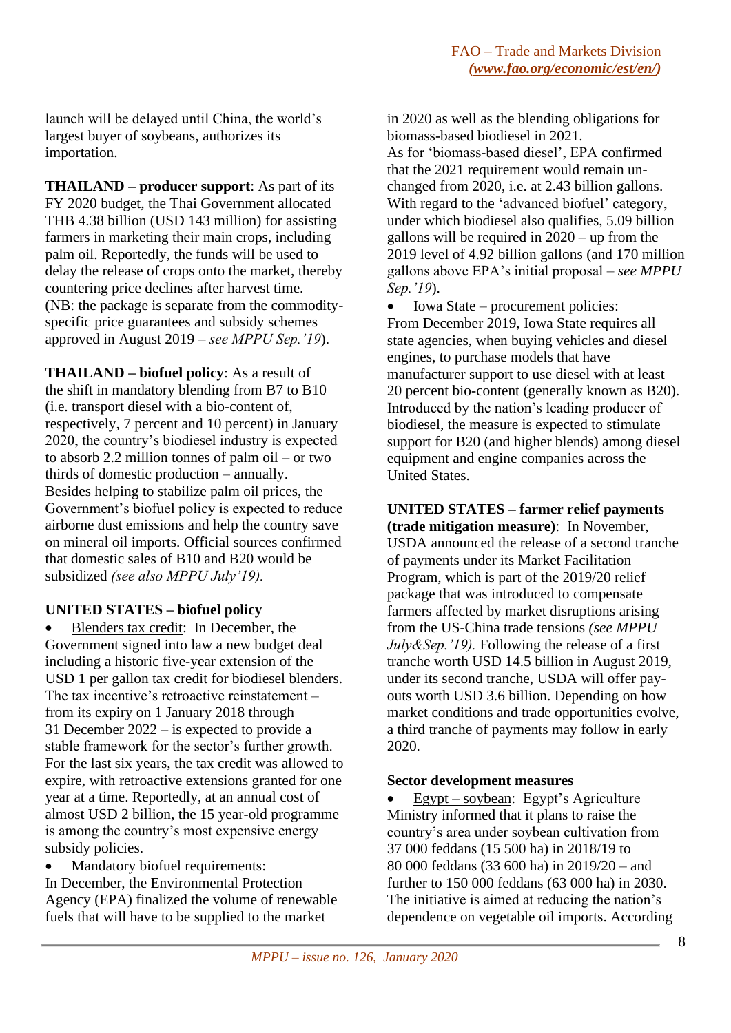launch will be delayed until China, the world's largest buyer of soybeans, authorizes its importation.

**THAILAND – producer support**: As part of its FY 2020 budget, the Thai Government allocated THB 4.38 billion (USD 143 million) for assisting farmers in marketing their main crops, including palm oil. Reportedly, the funds will be used to delay the release of crops onto the market, thereby countering price declines after harvest time. (NB: the package is separate from the commodityspecific price guarantees and subsidy schemes approved in August 2019 – *see MPPU Sep.'19*).

**THAILAND – biofuel policy**: As a result of the shift in mandatory blending from B7 to B10 (i.e. transport diesel with a bio-content of, respectively, 7 percent and 10 percent) in January 2020, the country's biodiesel industry is expected to absorb 2.2 million tonnes of palm oil – or two thirds of domestic production – annually. Besides helping to stabilize palm oil prices, the Government's biofuel policy is expected to reduce airborne dust emissions and help the country save on mineral oil imports. Official sources confirmed that domestic sales of B10 and B20 would be subsidized *(see also MPPU July'19).*

# **UNITED STATES – biofuel policy**

• Blenders tax credit: In December, the Government signed into law a new budget deal including a historic five-year extension of the USD 1 per gallon tax credit for biodiesel blenders. The tax incentive's retroactive reinstatement – from its expiry on 1 January 2018 through 31 December 2022 – is expected to provide a stable framework for the sector's further growth. For the last six years, the tax credit was allowed to expire, with retroactive extensions granted for one year at a time. Reportedly, at an annual cost of almost USD 2 billion, the 15 year-old programme is among the country's most expensive energy subsidy policies.

Mandatory biofuel requirements:

In December, the Environmental Protection Agency (EPA) finalized the volume of renewable fuels that will have to be supplied to the market

in 2020 as well as the blending obligations for biomass-based biodiesel in 2021.

As for 'biomass-based diesel', EPA confirmed that the 2021 requirement would remain unchanged from 2020, i.e. at 2.43 billion gallons. With regard to the 'advanced biofuel' category, under which biodiesel also qualifies, 5.09 billion gallons will be required in 2020 – up from the 2019 level of 4.92 billion gallons (and 170 million gallons above EPA's initial proposal – *see MPPU Sep.'19*).

• Iowa State – procurement policies: From December 2019, Iowa State requires all state agencies, when buying vehicles and diesel engines, to purchase models that have manufacturer support to use diesel with at least 20 percent bio-content (generally known as B20). Introduced by the nation's leading producer of biodiesel, the measure is expected to stimulate support for B20 (and higher blends) among diesel equipment and engine companies across the United States.

**UNITED STATES – farmer relief payments (trade mitigation measure)**: In November, USDA announced the release of a second tranche of payments under its Market Facilitation Program, which is part of the 2019/20 relief package that was introduced to compensate farmers affected by market disruptions arising from the US-China trade tensions *(see MPPU July&Sep.'19).* Following the release of a first tranche worth USD 14.5 billion in August 2019, under its second tranche, USDA will offer payouts worth USD 3.6 billion. Depending on how market conditions and trade opportunities evolve, a third tranche of payments may follow in early 2020.

# **Sector development measures**

• Egypt – soybean: Egypt's Agriculture Ministry informed that it plans to raise the country's area under soybean cultivation from 37 000 feddans (15 500 ha) in 2018/19 to 80 000 feddans (33 600 ha) in 2019/20 – and further to 150 000 feddans (63 000 ha) in 2030. The initiative is aimed at reducing the nation's dependence on vegetable oil imports. According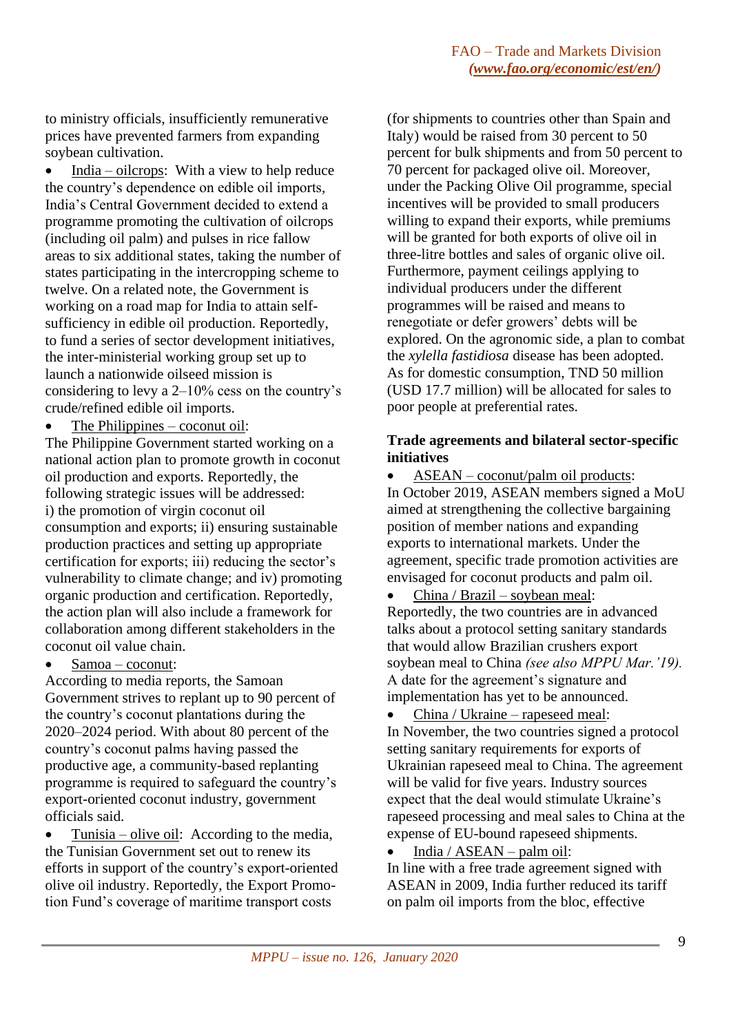to ministry officials, insufficiently remunerative prices have prevented farmers from expanding soybean cultivation.

• India – oilcrops: With a view to help reduce the country's dependence on edible oil imports, India's Central Government decided to extend a programme promoting the cultivation of oilcrops (including oil palm) and pulses in rice fallow areas to six additional states, taking the number of states participating in the intercropping scheme to twelve. On a related note, the Government is working on a road map for India to attain selfsufficiency in edible oil production. Reportedly, to fund a series of sector development initiatives, the inter-ministerial working group set up to launch a nationwide oilseed mission is considering to levy a 2–10% cess on the country's crude/refined edible oil imports.

The Philippines – coconut oil:

The Philippine Government started working on a national action plan to promote growth in coconut oil production and exports. Reportedly, the following strategic issues will be addressed: i) the promotion of virgin coconut oil consumption and exports; ii) ensuring sustainable production practices and setting up appropriate certification for exports; iii) reducing the sector's vulnerability to climate change; and iv) promoting organic production and certification. Reportedly, the action plan will also include a framework for collaboration among different stakeholders in the coconut oil value chain.

### Samoa - coconut:

According to media reports, the Samoan Government strives to replant up to 90 percent of the country's coconut plantations during the 2020–2024 period. With about 80 percent of the country's coconut palms having passed the productive age, a community-based replanting programme is required to safeguard the country's export-oriented coconut industry, government officials said.

• Tunisia – olive oil: According to the media, the Tunisian Government set out to renew its efforts in support of the country's export-oriented olive oil industry. Reportedly, the Export Promotion Fund's coverage of maritime transport costs

(for shipments to countries other than Spain and Italy) would be raised from 30 percent to 50 percent for bulk shipments and from 50 percent to 70 percent for packaged olive oil. Moreover, under the Packing Olive Oil programme, special incentives will be provided to small producers willing to expand their exports, while premiums will be granted for both exports of olive oil in three-litre bottles and sales of organic olive oil. Furthermore, payment ceilings applying to individual producers under the different programmes will be raised and means to renegotiate or defer growers' debts will be explored. On the agronomic side, a plan to combat the *xylella fastidiosa* disease has been adopted. As for domestic consumption, TND 50 million (USD 17.7 million) will be allocated for sales to poor people at preferential rates.

# **Trade agreements and bilateral sector-specific initiatives**

• ASEAN – coconut/palm oil products: In October 2019, ASEAN members signed a MoU aimed at strengthening the collective bargaining position of member nations and expanding exports to international markets. Under the agreement, specific trade promotion activities are envisaged for coconut products and palm oil.

- China / Brazil soybean meal: Reportedly, the two countries are in advanced talks about a protocol setting sanitary standards that would allow Brazilian crushers export soybean meal to China *(see also MPPU Mar.'19).* A date for the agreement's signature and implementation has yet to be announced.
- China / Ukraine rapeseed meal: In November, the two countries signed a protocol setting sanitary requirements for exports of Ukrainian rapeseed meal to China. The agreement will be valid for five years. Industry sources expect that the deal would stimulate Ukraine's rapeseed processing and meal sales to China at the expense of EU-bound rapeseed shipments.

• India / ASEAN – palm oil: In line with a free trade agreement signed with ASEAN in 2009, India further reduced its tariff on palm oil imports from the bloc, effective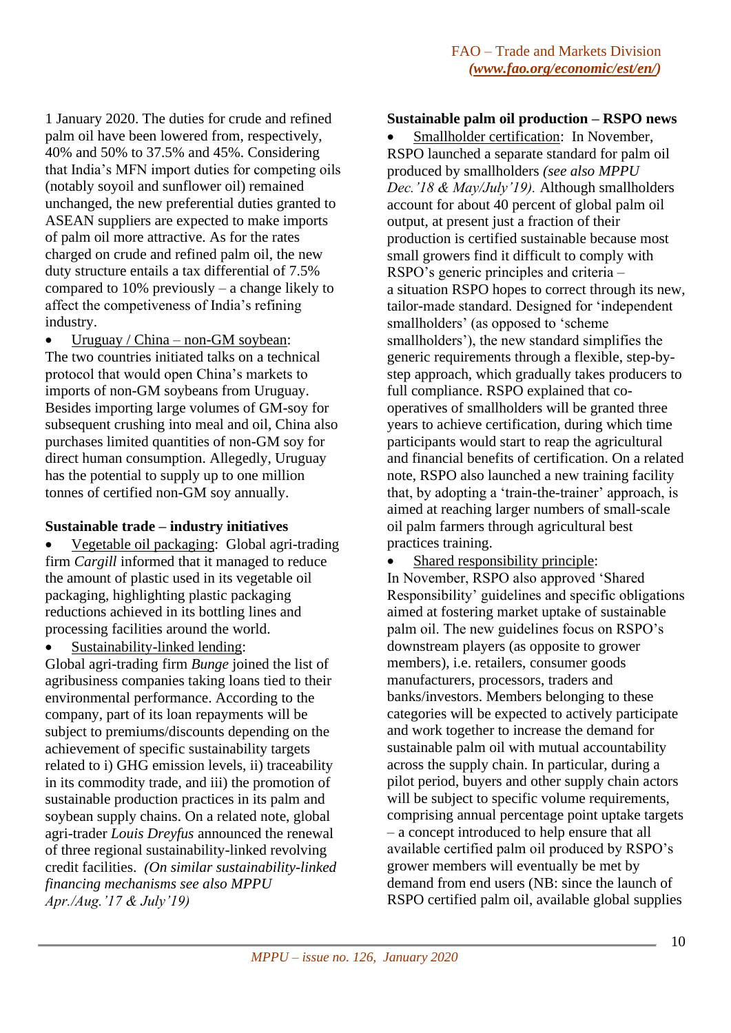1 January 2020. The duties for crude and refined palm oil have been lowered from, respectively, 40% and 50% to 37.5% and 45%. Considering that India's MFN import duties for competing oils (notably soyoil and sunflower oil) remained unchanged, the new preferential duties granted to ASEAN suppliers are expected to make imports of palm oil more attractive. As for the rates charged on crude and refined palm oil, the new duty structure entails a tax differential of 7.5% compared to 10% previously – a change likely to affect the competiveness of India's refining industry.

Uruguay / China – non-GM soybean: The two countries initiated talks on a technical protocol that would open China's markets to imports of non-GM soybeans from Uruguay. Besides importing large volumes of GM-soy for subsequent crushing into meal and oil, China also purchases limited quantities of non-GM soy for direct human consumption. Allegedly, Uruguay has the potential to supply up to one million tonnes of certified non-GM soy annually.

# **Sustainable trade – industry initiatives**

• Vegetable oil packaging: Global agri-trading firm *Cargill* informed that it managed to reduce the amount of plastic used in its vegetable oil packaging, highlighting plastic packaging reductions achieved in its bottling lines and processing facilities around the world.

Sustainability-linked lending:

Global agri-trading firm *Bunge* joined the list of agribusiness companies taking loans tied to their environmental performance. According to the company, part of its loan repayments will be subject to premiums/discounts depending on the achievement of specific sustainability targets related to i) GHG emission levels, ii) traceability in its commodity trade, and iii) the promotion of sustainable production practices in its palm and soybean supply chains. On a related note, global agri-trader *Louis Dreyfus* announced the renewal of three regional sustainability-linked revolving credit facilities. *(On similar sustainability-linked financing mechanisms see also MPPU Apr./Aug.'17 & July'19)*

### **Sustainable palm oil production – RSPO news**

Smallholder certification: In November, RSPO launched a separate standard for palm oil produced by smallholders *(see also MPPU Dec.'18 & May/July'19).* Although smallholders account for about 40 percent of global palm oil output, at present just a fraction of their production is certified sustainable because most small growers find it difficult to comply with RSPO's generic principles and criteria – a situation RSPO hopes to correct through its new, tailor-made standard. Designed for 'independent smallholders' (as opposed to 'scheme smallholders'), the new standard simplifies the generic requirements through a flexible, step-bystep approach, which gradually takes producers to full compliance. RSPO explained that cooperatives of smallholders will be granted three years to achieve certification, during which time participants would start to reap the agricultural and financial benefits of certification. On a related note, RSPO also launched a new training facility that, by adopting a 'train-the-trainer' approach, is aimed at reaching larger numbers of small-scale oil palm farmers through agricultural best practices training.

Shared responsibility principle:

In November, RSPO also approved 'Shared Responsibility' guidelines and specific obligations aimed at fostering market uptake of sustainable palm oil. The new guidelines focus on RSPO's downstream players (as opposite to grower members), i.e. retailers, consumer goods manufacturers, processors, traders and banks/investors. Members belonging to these categories will be expected to actively participate and work together to increase the demand for sustainable palm oil with mutual accountability across the supply chain. In particular, during a pilot period, buyers and other supply chain actors will be subject to specific volume requirements, comprising annual percentage point uptake targets – a concept introduced to help ensure that all available certified palm oil produced by RSPO's grower members will eventually be met by demand from end users (NB: since the launch of RSPO certified palm oil, available global supplies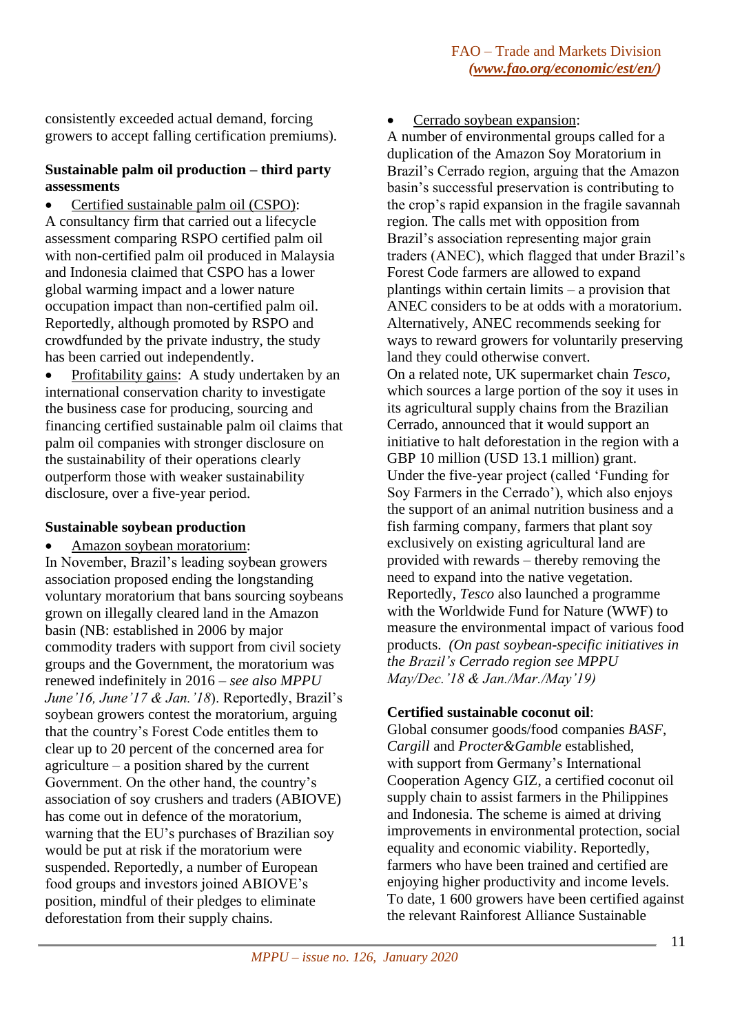consistently exceeded actual demand, forcing growers to accept falling certification premiums).

# **Sustainable palm oil production – third party assessments**

• Certified sustainable palm oil (CSPO): A consultancy firm that carried out a lifecycle assessment comparing RSPO certified palm oil with non-certified palm oil produced in Malaysia and Indonesia claimed that CSPO has a lower global warming impact and a lower nature occupation impact than non-certified palm oil. Reportedly, although promoted by RSPO and crowdfunded by the private industry, the study has been carried out independently.

Profitability gains: A study undertaken by an international conservation charity to investigate the business case for producing, sourcing and financing certified sustainable palm oil claims that palm oil companies with stronger disclosure on the sustainability of their operations clearly outperform those with weaker sustainability disclosure, over a five-year period.

# **Sustainable soybean production**

• Amazon soybean moratorium: In November, Brazil's leading soybean growers association proposed ending the longstanding voluntary moratorium that bans sourcing soybeans grown on illegally cleared land in the Amazon basin (NB: established in 2006 by major commodity traders with support from civil society groups and the Government, the moratorium was renewed indefinitely in 2016 – *see also MPPU June'16, June'17 & Jan.'18*). Reportedly, Brazil's soybean growers contest the moratorium, arguing that the country's Forest Code entitles them to clear up to 20 percent of the concerned area for agriculture – a position shared by the current Government. On the other hand, the country's association of soy crushers and traders (ABIOVE) has come out in defence of the moratorium, warning that the EU's purchases of Brazilian soy would be put at risk if the moratorium were suspended. Reportedly, a number of European food groups and investors joined ABIOVE's position, mindful of their pledges to eliminate deforestation from their supply chains.

• Cerrado soybean expansion:

A number of environmental groups called for a duplication of the Amazon Soy Moratorium in Brazil's Cerrado region, arguing that the Amazon basin's successful preservation is contributing to the crop's rapid expansion in the fragile savannah region. The calls met with opposition from Brazil's association representing major grain traders (ANEC), which flagged that under Brazil's Forest Code farmers are allowed to expand plantings within certain limits – a provision that ANEC considers to be at odds with a moratorium. Alternatively, ANEC recommends seeking for ways to reward growers for voluntarily preserving land they could otherwise convert. On a related note, UK supermarket chain *Tesco,* which sources a large portion of the soy it uses in its agricultural supply chains from the Brazilian Cerrado, announced that it would support an initiative to halt deforestation in the region with a GBP 10 million (USD 13.1 million) grant. Under the five-year project (called 'Funding for Soy Farmers in the Cerrado'), which also enjoys the support of an animal nutrition business and a fish farming company, farmers that plant soy exclusively on existing agricultural land are provided with rewards – thereby removing the need to expand into the native vegetation. Reportedly, *Tesco* also launched a programme with the Worldwide Fund for Nature (WWF) to measure the environmental impact of various food products. *(On past soybean-specific initiatives in the Brazil's Cerrado region see MPPU May/Dec.'18 & Jan./Mar./May'19)*

# **Certified sustainable coconut oil**:

Global consumer goods/food companies *BASF*, *Cargill* and *Procter&Gamble* established, with support from Germany's International Cooperation Agency GIZ, a certified coconut oil supply chain to assist farmers in the Philippines and Indonesia. The scheme is aimed at driving improvements in environmental protection, social equality and economic viability. Reportedly, farmers who have been trained and certified are enjoying higher productivity and income levels. To date, 1 600 growers have been certified against the relevant Rainforest Alliance Sustainable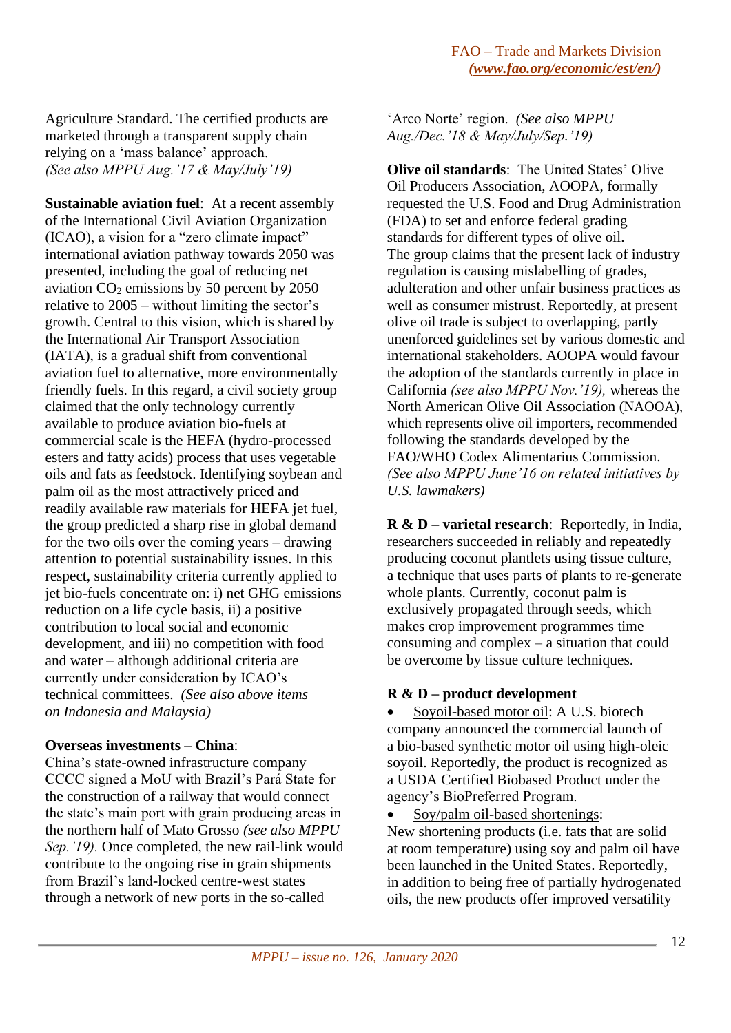Agriculture Standard. The certified products are marketed through a transparent supply chain relying on a 'mass balance' approach. *(See also MPPU Aug.'17 & May/July'19)*

**Sustainable aviation fuel**: At a recent assembly of the International Civil Aviation Organization (ICAO), a vision for a "zero climate impact" international aviation pathway towards 2050 was presented, including the goal of reducing net aviation  $CO<sub>2</sub>$  emissions by 50 percent by 2050 relative to 2005 – without limiting the sector's growth. Central to this vision, which is shared by the International Air Transport Association (IATA), is a gradual shift from conventional aviation fuel to alternative, more environmentally friendly fuels*.* In this regard, a civil society group claimed that the only technology currently available to produce aviation bio-fuels at commercial scale is the HEFA (hydro-processed esters and fatty acids) process that uses vegetable oils and fats as feedstock. Identifying soybean and palm oil as the most attractively priced and readily available raw materials for HEFA jet fuel, the group predicted a sharp rise in global demand for the two oils over the coming years – drawing attention to potential sustainability issues. In this respect, sustainability criteria currently applied to jet bio-fuels concentrate on: i) net GHG emissions reduction on a life cycle basis, ii) a positive contribution to local social and economic development, and iii) no competition with food and water – although additional criteria are currently under consideration by ICAO's technical committees. *(See also above items on Indonesia and Malaysia)*

# **Overseas investments – China**:

China's state-owned infrastructure company CCCC signed a MoU with Brazil's Pará State for the construction of a railway that would connect the state's main port with grain producing areas in the northern half of Mato Grosso *(see also MPPU Sep.'19).* Once completed, the new rail-link would contribute to the ongoing rise in grain shipments from Brazil's land-locked centre-west states through a network of new ports in the so-called

'Arco Norte' region. *(See also MPPU Aug./Dec.'18 & May/July/Sep.'19)*

**Olive oil standards**: The United States' Olive Oil Producers Association, AOOPA, formally requested the U.S. Food and Drug Administration (FDA) to set and enforce federal grading standards for different types of olive oil. The group claims that the present lack of industry regulation is causing mislabelling of grades, adulteration and other unfair business practices as well as consumer mistrust. Reportedly, at present olive oil trade is subject to overlapping, partly unenforced guidelines set by various domestic and international stakeholders. AOOPA would favour the adoption of the standards currently in place in California *(see also MPPU Nov.'19),* whereas the North American Olive Oil Association (NAOOA), which represents olive oil importers, recommended following the standards developed by the FAO/WHO Codex Alimentarius Commission. *(See also MPPU June'16 on related initiatives by U.S. lawmakers)*

**R & D – varietal research**: Reportedly, in India, researchers succeeded in reliably and repeatedly producing coconut plantlets using tissue culture, a technique that uses parts of plants to re-generate whole plants. Currently, coconut palm is exclusively propagated through seeds, which makes crop improvement programmes time consuming and complex – a situation that could be overcome by tissue culture techniques.

# **R & D – product development**

• Soyoil-based motor oil: A U.S. biotech company announced the commercial launch of a bio-based synthetic motor oil using high-oleic soyoil. Reportedly, the product is recognized as a USDA Certified Biobased Product under the agency's BioPreferred Program.

• Soy/palm oil-based shortenings: New shortening products (i.e. fats that are solid at room temperature) using soy and palm oil have been launched in the United States. Reportedly, in addition to being free of partially hydrogenated oils, the new products offer improved versatility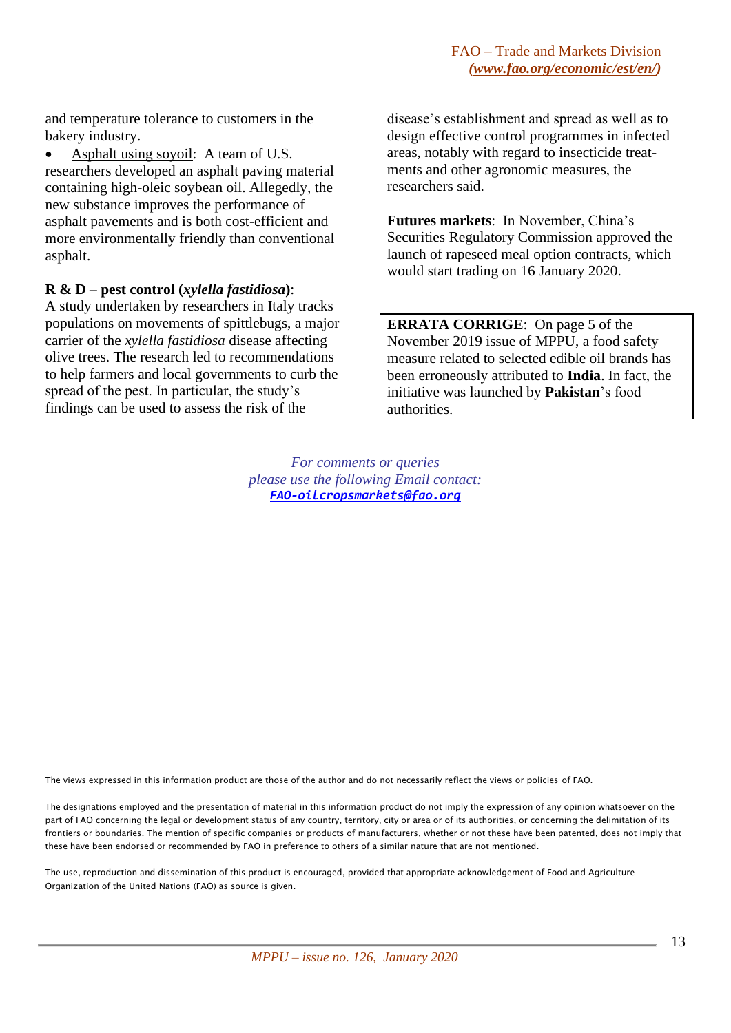and temperature tolerance to customers in the bakery industry.

• Asphalt using soyoil: A team of U.S. researchers developed an asphalt paving material containing high-oleic soybean oil. Allegedly, the new substance improves the performance of asphalt pavements and is both cost-efficient and more environmentally friendly than conventional asphalt.

#### **R & D – pest control (***xylella fastidiosa***)**:

A study undertaken by researchers in Italy tracks populations on movements of spittlebugs, a major carrier of the *xylella fastidiosa* disease affecting olive trees. The research led to recommendations to help farmers and local governments to curb the spread of the pest. In particular, the study's findings can be used to assess the risk of the

disease's establishment and spread as well as to design effective control programmes in infected areas, notably with regard to insecticide treatments and other agronomic measures, the researchers said.

**Futures markets**: In November, China's Securities Regulatory Commission approved the launch of rapeseed meal option contracts, which would start trading on 16 January 2020.

**ERRATA CORRIGE**: On page 5 of the November 2019 issue of MPPU, a food safety measure related to selected edible oil brands has been erroneously attributed to **India**. In fact, the initiative was launched by **Pakistan**'s food authorities.

*For comments or queries please use the following Email contact: [FAO-oilcropsmarkets@fao.org](mailto:FAO-oilcropsmarkets@fao.org)*

The views expressed in this information product are those of the author and do not necessarily reflect the views or policies of FAO.

The designations employed and the presentation of material in this information product do not imply the expression of any opinion whatsoever on the part of FAO concerning the legal or development status of any country, territory, city or area or of its authorities, or concerning the delimitation of its frontiers or boundaries. The mention of specific companies or products of manufacturers, whether or not these have been patented, does not imply that these have been endorsed or recommended by FAO in preference to others of a similar nature that are not mentioned.

The use, reproduction and dissemination of this product is encouraged, provided that appropriate acknowledgement of Food and Agriculture Organization of the United Nations (FAO) as source is given.